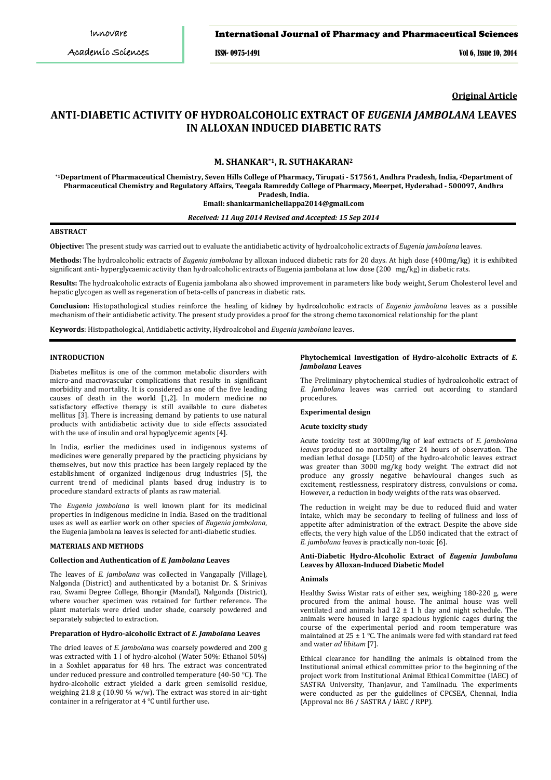## International Journal of Pharmacy and Pharmaceutical Sciences

ISSN- 0975-1491 Vol 6, Issue 10, 2014

**Original Article**

# **ANTI-DIABETIC ACTIVITY OF HYDROALCOHOLIC EXTRACT OF** *EUGENIA JAMBOLANA* **LEAVES IN ALLOXAN INDUCED DIABETIC RATS**

## **M. SHANKAR\*1, R. SUTHAKARAN2**

**\*1Department of Pharmaceutical Chemistry, Seven Hills College of Pharmacy, Tirupati - 517561, Andhra Pradesh, India, 2 Department of Pharmaceutical Chemistry and Regulatory Affairs, Teegala Ramreddy College of Pharmacy, Meerpet, Hyderabad - 500097, Andhra Pradesh, India. Email: shankarmanichellappa2014@gmail.com**

*Received: 11 Aug 2014 Revised and Accepted: 15 Sep 2014*

## **ABSTRACT**

**Objective:** The present study was carried out to evaluate the antidiabetic activity of hydroalcoholic extracts of *Eugenia jambolana* leaves.

**Methods:** The hydroalcoholic extracts of *Eugenia jambolana* by alloxan induced diabetic rats for 20 days. At high dose (400 mg/kg) it is exhibited significant anti- hyperglycaemic activity than hydroalcoholic extracts of Eugenia jambolana at low dose (200  mg/kg) in diabetic rats.

**Results:** The hydroalcoholic extracts of Eugenia jambolana also showed improvement in parameters like body weight, Serum Cholesterol level and hepatic glycogen as well as regeneration of beta-cells of pancreas in diabetic rats.

**Conclusion:** Histopathological studies reinforce the healing of kidney by hydroalcoholic extracts of *Eugenia jambolana* leaves as a possible mechanism of their antidiabetic activity. The present study provides a proof for the strong chemo taxonomical relationship for the plant

**Keywords**: Histopathological, Antidiabetic activity, Hydroalcohol and *Eugenia jambolana* leaves.

#### **INTRODUCTION**

Diabetes mellitus is one of the common metabolic disorders with micro-and macrovascular complications that results in significant morbidity and mortality. It is considered as one of the five leading causes of death in the world [1,2]. In modern medicine no satisfactory effective therapy is still available to cure diabetes mellitus [3]. There is increasing demand by patients to use natural products with antidiabetic activity due to side effects associated with the use of insulin and oral hypoglycemic agents [4].

In India, earlier the medicines used in indigenous systems of medicines were generally prepared by the practicing physicians by themselves, but now this practice has been largely replaced by the establishment of organized indigenous drug industries [5], the current trend of medicinal plants based drug industry is to procedure standard extracts of plants as raw material.

The *Eugenia jambolana* is well known plant for its medicinal properties in indigenous medicine in India. Based on the traditional uses as well as earlier work on other species of *Eugenia jambolana*, the Eugenia jambolana leaves is selected for anti-diabetic studies.

## **MATERIALS AND METHODS**

# **Collection and Authentication of** *E. Jambolana* **Leaves**

The leaves of *E. jambolana* was collected in Vangapally (Village), Nalgonda (District) and authenticated by a botanist Dr. S. Srinivas rao, Swami Degree College, Bhongir (Mandal), Nalgonda (District), where voucher specimen was retained for further reference. The plant materials were dried under shade, coarsely powdered and separately subjected to extraction.

## **Preparation of Hydro-alcoholic Extract of** *E. Jambolana* **Leaves**

The dried leaves of *E. jambolana* was coarsely powdered and 200 g was extracted with 1 l of hydro-alcohol (Water 50%: Ethanol 50%) in a Soxhlet apparatus for 48 hrs. The extract was concentrated under reduced pressure and controlled temperature (40-50 °C). The hydro-alcoholic extract yielded a dark green semisolid residue, weighing 21.8 g (10.90 % w/w). The extract was stored in air-tight container in a refrigerator at 4 °C until further use.

#### **Phytochemical Investigation of Hydro-alcoholic Extracts of** *E. Jambolana* **Leaves**

The Preliminary phytochemical studies of hydroalcoholic extract of *E. Jambolana* leaves was carried out according to standard procedures.

#### **Experimental design**

#### **Acute toxicity study**

Acute toxicity test at 3000mg/kg of leaf extracts of *E. jambolana leaves* produced no mortality after 24 hours of observation. The median lethal dosage (LD50) of the hydro-alcoholic leaves extract was greater than 3000 mg/kg body weight. The extract did not produce any grossly negative behavioural changes such as excitement, restlessness, respiratory distress, convulsions or coma. However, a reduction in body weights of the rats was observed.

The reduction in weight may be due to reduced fluid and water intake, which may be secondary to feeling of fullness and loss of appetite after administration of the extract. Despite the above side effects, the very high value of the LD50 indicated that the extract of *E. jambolana leaves* is practically non-toxic [6].

## **Anti-Diabetic Hydro-Alcoholic Extract of** *Eugenia Jambolana* **Leaves by Alloxan-Induced Diabetic Model**

#### **Animals**

Healthy Swiss Wistar rats of either sex, weighing 180-220 g, were procured from the animal house. The animal house was well ventilated and animals had  $12 \pm 1$  h day and night schedule. The animals were housed in large spacious hygienic cages during the course of the experimental period and room temperature was maintained at 25  $\pm$  1 °C. The animals were fed with standard rat feed and water *ad libitum* [7].

Ethical clearance for handling the animals is obtained from the Institutional animal ethical committee prior to the beginning of the project work from Institutional Animal Ethical Committee (IAEC) of SASTRA University, Thanjavur, and Tamilnadu. The experiments were conducted as per the guidelines of CPCSEA, Chennai, India (Approval no: 86 / SASTRA / IAEC **/** RPP).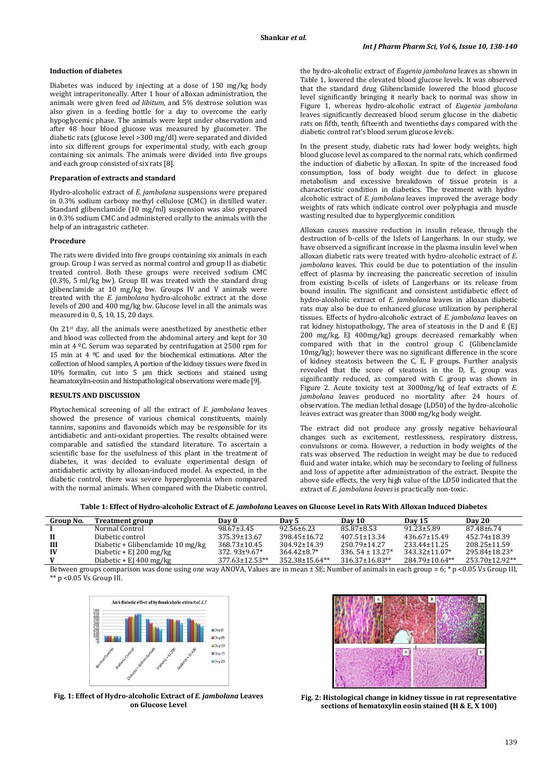#### **Induction of diabetes**

Diabetes was induced by injecting at a dose of 150 mg/kg body weight intraperitoneally. After 1 hour of alloxan administration, the animals were given feed *ad libitum,* and 5% dextrose solution was also given in a feeding bottle for a day to overcome the early hypoglycemic phase. The animals were kept under observation and after 48 hour blood glucose was measured by glucometer. The diabetic rats (glucose level >300 mg/dl) were separated and divided into six different groups for experimental study, with each group containing six animals. The animals were divided into five groups and each group consisted of six rats [8].

#### **Preparation of extracts and standard**

Hydro-alcoholic extract of *E. jambolana* suspensions were prepared in 0.3% sodium carboxy methyl cellulose (CMC) in distilled water. Standard glibenclamide (10 mg/ml) suspension was also prepared in 0.3% sodium CMC and administered orally to the animals with the help of an intragastric catheter.

#### **Procedure**

The rats were divided into five groups containing six animals in each group. Group I was served as normal control and group II as diabetic treated control. Both these groups were received sodium CMC (0.3%, 5 ml/kg bw). Group III was treated with the standard drug glibenclamide at 10 mg/kg bw. Groups IV and V animals were treated with the *E. jambolana* hydro-alcoholic extract at the dose levels of 200 and 400 mg/kg bw. Glucose level in all the animals was measured in 0, 5, 10, 15, 20 days.

On 21st day, all the animals were anesthetized by anesthetic ether and blood was collected from the abdominal artery and kept for 30 min at 4 ºC. Serum was separated by centrifugation at 2500 rpm for 15 min at 4 ºC and used for the biochemical estimations. After the collection of blood samples, A portion of the kidney tissues were fixed in 10% formalin, cut into 5 μm thick sections and stained using heamatoxylin-eosin and histopathological observations were made [9].

#### **RESULTS AND DISCUSSION**

Phytochemical screening of all the extract of *E. jambolana* leaves showed the presence of various chemical constituents, mainly tannins, saponins and flavonoids which may be responsible for its antidiabetic and anti-oxidant properties. The results obtained were comparable and satisfied the standard literature. To ascertain a scientific base for the usefulness of this plant in the treatment of diabetes, it was decided to evaluate experimental design of antidiabetic activity by alloxan-induced model. As expected, in the diabetic control, there was severe hyperglycemia when compared with the normal animals. When compared with the Diabetic control, the hydro-alcoholic extract of *Eugenia jambolana* leaves as shown in Table 1, lowered the elevated blood glucose levels. It was observed that the standard drug Glibenclamide lowered the blood glucose level significantly bringing it nearly back to normal was show in Figure 1, whereas hydro-alcoholic extract of *Eugenia jambolana*  leaves significantly decreased blood serum glucose in the diabetic rats on fifth, tenth, fifteenth and twentieths days compared with the diabetic control rat's blood serum glucose levels.

In the present study, diabetic rats had lower body weights, high blood glucose level as compared to the normal rats, which confirmed the induction of diabetic by alloxan. In spite of the increased food consumption, loss of body weight due to defect in glucose metabolism and excessive breakdown of tissue protein is a characteristic condition in diabetics. The treatment with hydroalcoholic extract of *E. jambolana* leaves improved the average body weights of rats which indicate control over polyphagia and muscle wasting resulted due to hyperglycemic condition.

Alloxan causes massive reduction in insulin release, through the destruction of b-cells of the Islets of Langerhans. In our study, we have observed a significant increase in the plasma insulin level when alloxan diabetic rats were treated with hydro-alcoholic extract of *E. jambolana* leaves. This could be due to potentiation of the insulin effect of plasma by increasing the pancreatic secretion of insulin from existing b-cells of islets of Langerhans or its release from bound insulin. The significant and consistent antidiabetic effect of hydro-alcoholic extract of *E. jambolana* leaves in alloxan diabetic rats may also be due to enhanced glucose utilization by peripheral tissues. Effects of hydro-alcoholic extract of *E. jambolana* leaves on rat kidney histopathology, The area of steatosis in the D and E (EJ 200 mg/kg, EJ 400mg/kg) groups decreased remarkably when compared with that in the control group C (Glibenclamide 10mg/kg); however there was no significant difference in the score of kidney steatosis between the C, E, F groups. Further analysis revealed that the score of steatosis in the D, E, group was significantly reduced, as compared with C group was shown in Figure 2. Acute toxicity test at 3000mg/kg of leaf extracts of *E. jambolana* leaves produced no mortality after 24 hours of observation. The median lethal dosage (LD50) of the hydro-alcoholic leaves extract was greater than 3000 mg/kg body weight.

The extract did not produce any grossly negative behavioural changes such as excitement, restlessness, respiratory distress, convulsions or coma. However, a reduction in body weights of the rats was observed. The reduction in weight may be due to reduced fluid and water intake, which may be secondary to feeling of fullness and loss of appetite after administration of the extract. Despite the above side effects, the very high value of the LD50 indicated that the extract of *E. jambolana leaves* is practically non-toxic.

**Table 1: Effect of Hydro-alcoholic Extract of** *E. jambolana* **Leaves on Glucose Level in Rats With Alloxan Induced Diabetes**

| Group No. | <b>Treatment group</b>               | Dav 0                | Dav 5              | Day 10                | Day 15                | Day 20         |
|-----------|--------------------------------------|----------------------|--------------------|-----------------------|-----------------------|----------------|
|           | Normal Control                       | 98.67+3.45           | $92.56 + 6.23$     | 85.87+8.53            | 91.23+5.89            | 87.48+6.74     |
| Н.        | Diabetic control                     | 375.39±13.67         | 398.45+16.72       | 407.51+13.34          | 436.67+15.49          | 452.74+18.39   |
| Ш         | Diabetic + Glibenclamide 10 mg/kg    | $368.73 \pm 10.45$   | $304.92 \pm 14.39$ | 250.79±14.27          | 233.44±11.25          | 208.25+11.59   |
| $\bf{IV}$ | Diabetic + El 200 mg/kg              | $372.93 \pm 9.67$ *  | $364.42 + 8.7*$    | $336.54 + 13.27*$     | 343.32+11.07*         | 295.84+18.23*  |
| V         | Diabetic + EI $400 \,\mathrm{mg/kg}$ | $377.63 \pm 12.53**$ | 352.38±15.64**     | $316.37 \pm 16.83$ ** | $284.79 \pm 10.64$ ** | 253.70+12.92** |

Between groups comparison was done using one way ANOVA, Values are in mean ± SE; Number of animals in each group = 6; \* p <0.05 Vs Group III, \*\* p <0.05 Vs Group III.





**Fig. 1: Effect of Hydro-alcoholic Extract of** *E. jambolana* **Leaves on Glucose Level**

**Fig. 2: Histological change in kidney tissue in rat representative sections of hematoxylin eosin stained (H & E, X 100)**